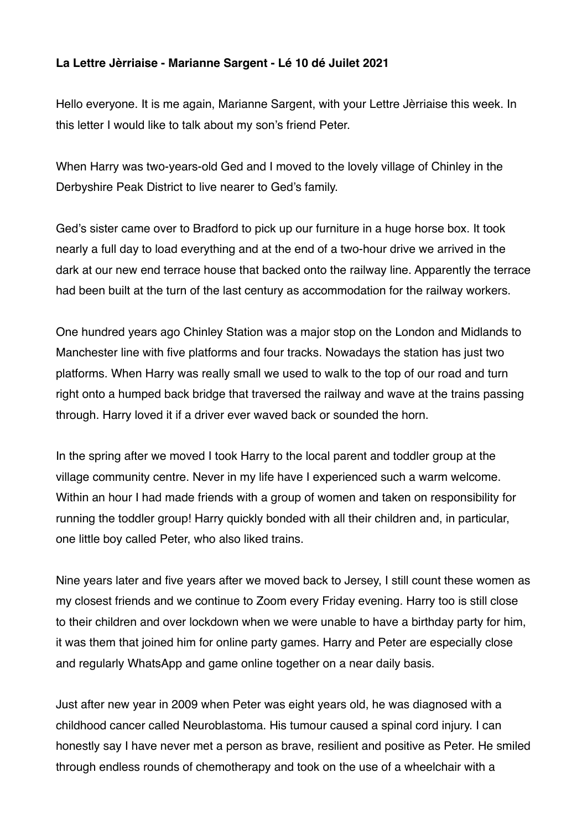## **La Lettre Jèrriaise - Marianne Sargent - Lé 10 dé Juilet 2021**

Hello everyone. It is me again, Marianne Sargent, with your Lettre Jèrriaise this week. In this letter I would like to talk about my son's friend Peter.

When Harry was two-years-old Ged and I moved to the lovely village of Chinley in the Derbyshire Peak District to live nearer to Ged's family.

Ged's sister came over to Bradford to pick up our furniture in a huge horse box. It took nearly a full day to load everything and at the end of a two-hour drive we arrived in the dark at our new end terrace house that backed onto the railway line. Apparently the terrace had been built at the turn of the last century as accommodation for the railway workers.

One hundred years ago Chinley Station was a major stop on the London and Midlands to Manchester line with five platforms and four tracks. Nowadays the station has just two platforms. When Harry was really small we used to walk to the top of our road and turn right onto a humped back bridge that traversed the railway and wave at the trains passing through. Harry loved it if a driver ever waved back or sounded the horn.

In the spring after we moved I took Harry to the local parent and toddler group at the village community centre. Never in my life have I experienced such a warm welcome. Within an hour I had made friends with a group of women and taken on responsibility for running the toddler group! Harry quickly bonded with all their children and, in particular, one little boy called Peter, who also liked trains.

Nine years later and five years after we moved back to Jersey, I still count these women as my closest friends and we continue to Zoom every Friday evening. Harry too is still close to their children and over lockdown when we were unable to have a birthday party for him, it was them that joined him for online party games. Harry and Peter are especially close and regularly WhatsApp and game online together on a near daily basis.

Just after new year in 2009 when Peter was eight years old, he was diagnosed with a childhood cancer called Neuroblastoma. His tumour caused a spinal cord injury. I can honestly say I have never met a person as brave, resilient and positive as Peter. He smiled through endless rounds of chemotherapy and took on the use of a wheelchair with a